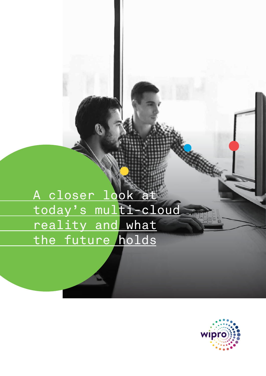A closer look at today's multi-cloud reality and what the future holds

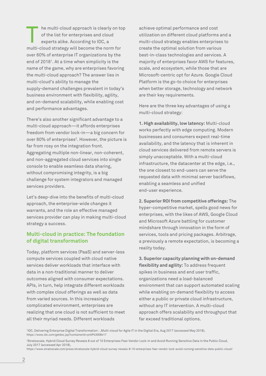he multi-cloud approach is clearly on top of the list for enterprises and cloud experts alike. According to IDC, a multi-cloud strategy will become the norm for over 60% of enterprise IT organizations by the end of 2018<sup>1</sup>. At a time when simplicity is the name of the game, why are enterprises favoring the multi-cloud approach? The answer lies in multi-cloud's ability to manage the supply-demand challenges prevalent in today's business environment with flexibility, agility, and on-demand scalability, while enabling cost and performance advantages. The multi-cloud approach is clearly on top achieve optimal performance and cost<br>of the list for enterprises and cloud<br>experts alike. According to IDC, a<br>multi-cloud strategy enables enterpris

There's also another significant advantage to a multi-cloud approach—it affords enterprises freedom from vendor lock-in—a big concern for over 80% of enterprises<sup>2</sup>. However, the picture is far from rosy on the integration front. Aggregating multiple non-linear, non-coherent, and non-aggregated cloud services into single console to enable seamless data sharing, without compromising integrity, is a big challenge for system integrators and managed services providers.

Let's deep-dive into the benefits of multi-cloud approach, the enterprise-wide changes it warrants, and the role an effective managed services provider can play in making multi-cloud strategy a success.

#### **Multi-cloud in practice: The foundation of digital transformation**

Today, platform services (PaaS) and server-less compute services coupled with cloud native services deliver workloads that interface with data in a non-traditional manner to deliver outcomes aligned with consumer expectations. APIs, in turn, help integrate different workloads with complex cloud offerings as well as data from varied sources. In this increasingly complicated environment, enterprises are realizing that one cloud is not sufficient to meet all their myriad needs. Different workloads

utilization on different cloud platforms and a multi-cloud strategy enables enterprises to create the optimal solution from various best-in-class technologies and services. A majority of enterprises favor AWS for features, scale, and ecosystem, while those that are Microsoft-centric opt for Azure. Google Cloud Platform is the go-to choice for enterprises when better storage, technology and network are their key requirements.

Here are the three key advantages of using a multi-cloud strategy:

**1. High availability, low latency:** Multi-cloud works perfectly with edge computing. Modern businesses and consumers expect real-time availability, and the latency that is inherent in cloud services delivered from remote servers is simply unacceptable. With a multi-cloud infrastructure, the datacenter at the edge, i.e., the one closest to end-users can serve the requested data with minimal server backflows, enabling a seamless and unified end-user experience.

**2. Superior ROI from competitive offerings:** The hyper-competitive market, spells good news for enterprises, with the likes of AWS, Google Cloud and Microsoft Azure battling for customer mindshare through innovation in the form of services, tools and pricing packages. Arbitrage, a previously a remote expectation, is becoming a reality today.

**3. Superior capacity planning with on-demand flexibility and agility:** To address frequent spikes in business and end user traffic, organizations need a load-balanced environment that can support automated scaling while enabling on-demand flexibility to access either a public or private cloud infrastructure, without any IT intervention. A multi-cloud approach offers scalability and throughput that far exceed traditional options.

1 IDC, Delivering Enterprise Digital Transformation : ,Multi-cloud for Agile IT in the Digital Era, Aug 2017 (accessed May 2018), https://www.idc.com/getdoc.jsp?containerId=prAP43008417

<sup>2</sup> Stratoscale, Hybrid Cloud Survey Reveals 8 out of 10 Enterprises Fear Vendor Lock-in and Avoid Running Sensitive Data in the Public Cloud, July 2017 (accessed Apr 2018),

https://www.stratoscale.com/press/stratoscale-hybrid-cloud-survey-reveals-8-10-enterprises-fear-vendor-lock-avoid-running-sensitive-data-public-cloud/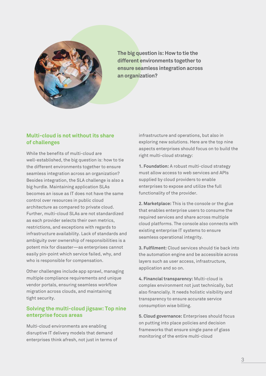

**The big question is: How to tie the different environments together to ensure seamless integration across an organization?**

# **Multi-cloud is not without its share of challenges**

While the benefits of multi-cloud are well-established, the big question is: how to tie the different environments together to ensure seamless integration across an organization? Besides integration, the SLA challenge is also a big hurdle. Maintaining application SLAs becomes an issue as IT does not have the same control over resources in public cloud architecture as compared to private cloud. Further, multi-cloud SLAs are not standardized as each provider selects their own metrics, restrictions, and exceptions with regards to infrastructure availability. Lack of standards and ambiguity over ownership of responsibilities is a potent mix for disaster—as enterprises cannot easily pin-point which service failed, why, and who is responsible for compensation.

Other challenges include app sprawl, managing multiple compliance requirements and unique vendor portals, ensuring seamless workflow migration across clouds, and maintaining tight security.

# **Solving the multi-cloud jigsaw: Top nine enterprise focus areas**

Multi-cloud environments are enabling disruptive IT delivery models that demand enterprises think afresh, not just in terms of infrastructure and operations, but also in exploring new solutions. Here are the top nine aspects enterprises should focus on to build the right multi-cloud strategy:

**1. Foundation:** A robust multi-cloud strategy must allow access to web services and APIs supplied by cloud providers to enable enterprises to expose and utilize the full functionality of the provider.

**2. Marketplace:** This is the console or the glue that enables enterprise users to consume the required services and share across multiple cloud platforms. The console also connects with existing enterprise IT systems to ensure seamless operational integrity.

**3. Fulfilment:** Cloud services should tie back into the automation engine and be accessible across layers such as user access, infrastructure, application and so on.

**4. Financial transparency:** Multi-cloud is complex environment not just technically, but also financially. It needs holistic visibility and transparency to ensure accurate service consumption wise billing.

**5. Cloud governance:** Enterprises should focus on putting into place policies and decision frameworks that ensure single pane of glass monitoring of the entire multi-cloud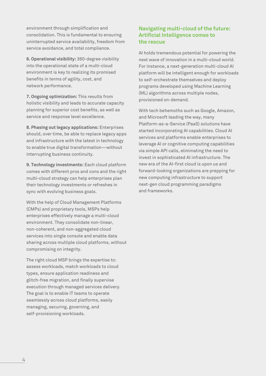environment through simplification and consolidation. This is fundamental to ensuring uninterrupted service availability, freedom from service avoidance, and total compliance.

**6. Operational visibility:** 360-degree visibility into the operational state of a multi-cloud environment is key to realizing its promised benefits in terms of agility, cost, and network performance.

**7. Ongoing optimization:** This results from holistic visibility and leads to accurate capacity planning for superior cost benefits, as well as service and response level excellence.

**8. Phasing out legacy applications:** Enterprises should, over time, be able to replace legacy apps and infrastructure with the latest in technology to enable true digital transformation—without interrupting business continuity.

**9. Technology investments:** Each cloud platform comes with different pros and cons and the right multi-cloud strategy can help enterprises plan their technology investments or refreshes in sync with evolving business goals.

With the help of Cloud Management Platforms (CMPs) and proprietary tools, MSPs help enterprises effectively manage a multi-cloud environment. They consolidate non-linear, non-coherent, and non-aggregated cloud services into single console and enable data sharing across multiple cloud platforms, without compromising on integrity.

The right cloud MSP brings the expertise to: assess workloads, match workloads to cloud types, ensure application readiness and glitch-free migration, and finally supervise execution through managed services delivery. The goal is to enable IT teams to operate seamlessly across cloud platforms, easily managing, securing, governing, and self-provisioning workloads.

# **Navigating multi-cloud of the future: Artificial Intelligence comes to the rescue**

AI holds tremendous potential for powering the next wave of innovation in a multi-cloud world. For instance, a next-generation multi-cloud AI platform will be intelligent enough for workloads to self-orchestrate themselves and deploy programs developed using Machine Learning (ML) algorithms across multiple nodes, provisioned on-demand.

With tech behemoths such as Google, Amazon, and Microsoft leading the way, many Platform-as-a-Service (PaaS) solutions have started incorporating AI capabilities. Cloud AI services and platforms enable enterprises to leverage AI or cognitive computing capabilities via simple API calls, eliminating the need to invest in sophisticated AI infrastructure. The new era of the AI-first cloud is upon us and forward-looking organizations are prepping for new computing infrastructure to support next-gen cloud programming paradigms and frameworks.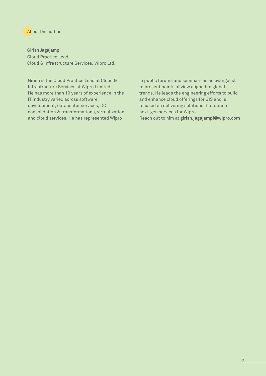#### About the author

#### **Girish Jagajampi**

Cloud Practice Lead, Cloud & Infrastructure Services, Wipro Ltd.

Girish is the Cloud Practice Lead at Cloud & Infrastructure Services at Wipro Limited. He has more than 19 years of experience in the IT industry varied across software development, datacenter services, DC consolidation & transformations, virtualization and cloud services. He has represented Wipro

in public forums and seminars as an evangelist to present points of view aligned to global trends. He leads the engineering efforts to build and enhance cloud offerings for GIS and is focused on delivering solutions that define next-gen services for Wipro. Reach out to him at **girish.jagajampi@wipro.com**